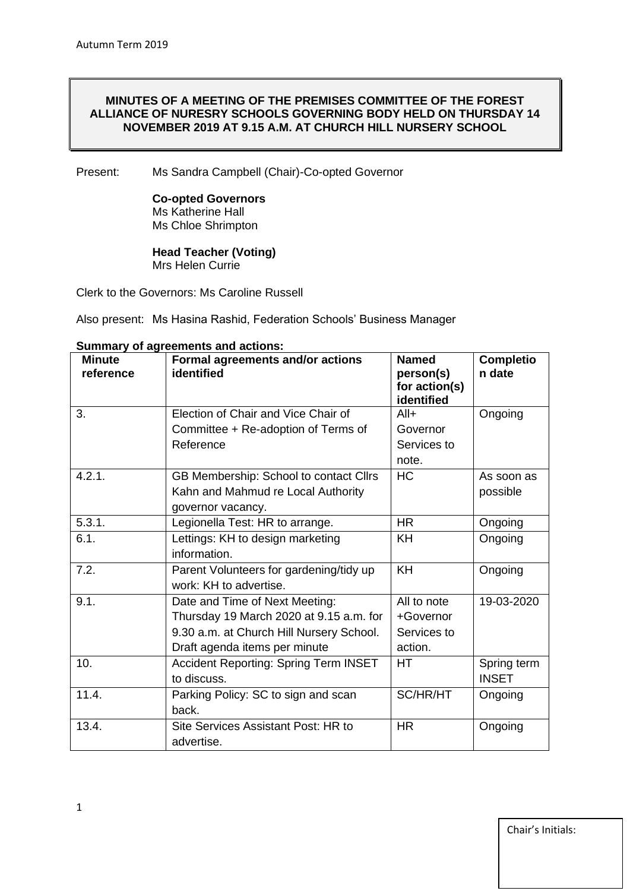# **MINUTES OF A MEETING OF THE PREMISES COMMITTEE OF THE FOREST ALLIANCE OF NURESRY SCHOOLS GOVERNING BODY HELD ON THURSDAY 14 NOVEMBER 2019 AT 9.15 A.M. AT CHURCH HILL NURSERY SCHOOL**

Present: Ms Sandra Campbell (Chair)-Co-opted Governor

**Co-opted Governors** Ms Katherine Hall Ms Chloe Shrimpton

**Head Teacher (Voting)** Mrs Helen Currie

Clerk to the Governors: Ms Caroline Russell

Also present: Ms Hasina Rashid, Federation Schools' Business Manager

| <b>Minute</b><br>reference | Formal agreements and/or actions<br>identified | <b>Named</b><br>person(s)   | <b>Completio</b><br>n date |
|----------------------------|------------------------------------------------|-----------------------------|----------------------------|
|                            |                                                | for action(s)<br>identified |                            |
| 3.                         | Election of Chair and Vice Chair of            | $All+$                      | Ongoing                    |
|                            | Committee + Re-adoption of Terms of            | Governor                    |                            |
|                            | Reference                                      | Services to                 |                            |
|                            |                                                | note.                       |                            |
| 4.2.1.                     | GB Membership: School to contact Cllrs         | <b>HC</b>                   | As soon as                 |
|                            | Kahn and Mahmud re Local Authority             |                             | possible                   |
|                            | governor vacancy.                              |                             |                            |
| 5.3.1.                     | Legionella Test: HR to arrange.                | <b>HR</b>                   | Ongoing                    |
| 6.1.                       | Lettings: KH to design marketing               | KH                          | Ongoing                    |
|                            | information.                                   |                             |                            |
| 7.2.                       | Parent Volunteers for gardening/tidy up        | KH                          | Ongoing                    |
|                            | work: KH to advertise.                         |                             |                            |
| 9.1.                       | Date and Time of Next Meeting:                 | All to note                 | 19-03-2020                 |
|                            | Thursday 19 March 2020 at 9.15 a.m. for        | +Governor                   |                            |
|                            | 9.30 a.m. at Church Hill Nursery School.       | Services to                 |                            |
|                            | Draft agenda items per minute                  | action.                     |                            |
| 10.                        | <b>Accident Reporting: Spring Term INSET</b>   | <b>HT</b>                   | Spring term                |
|                            | to discuss.                                    |                             | <b>INSET</b>               |
| 11.4.                      | Parking Policy: SC to sign and scan            | <b>SC/HR/HT</b>             | Ongoing                    |
|                            | back.                                          |                             |                            |
| 13.4.                      | Site Services Assistant Post: HR to            | <b>HR</b>                   | Ongoing                    |
|                            | advertise.                                     |                             |                            |

# **Summary of agreements and actions:**

Chair's Initials: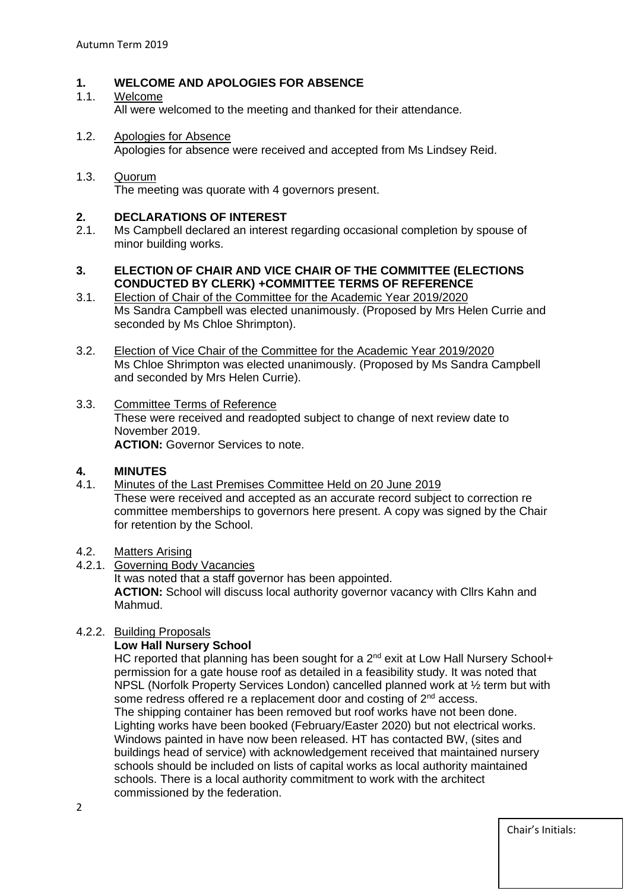# **1. WELCOME AND APOLOGIES FOR ABSENCE**

### 1.1. Welcome

All were welcomed to the meeting and thanked for their attendance.

1.2. Apologies for Absence Apologies for absence were received and accepted from Ms Lindsey Reid.

#### 1.3. Quorum The meeting was quorate with 4 governors present.

# **2. DECLARATIONS OF INTEREST**

2.1. Ms Campbell declared an interest regarding occasional completion by spouse of minor building works.

# **3. ELECTION OF CHAIR AND VICE CHAIR OF THE COMMITTEE (ELECTIONS CONDUCTED BY CLERK) +COMMITTEE TERMS OF REFERENCE**

- 3.1. Election of Chair of the Committee for the Academic Year 2019/2020 Ms Sandra Campbell was elected unanimously. (Proposed by Mrs Helen Currie and seconded by Ms Chloe Shrimpton).
- 3.2. Election of Vice Chair of the Committee for the Academic Year 2019/2020 Ms Chloe Shrimpton was elected unanimously. (Proposed by Ms Sandra Campbell and seconded by Mrs Helen Currie).
- 3.3. Committee Terms of Reference These were received and readopted subject to change of next review date to November 2019. **ACTION:** Governor Services to note.

# **4. MINUTES**

- 4.1. Minutes of the Last Premises Committee Held on 20 June 2019 These were received and accepted as an accurate record subject to correction re committee memberships to governors here present. A copy was signed by the Chair for retention by the School.
- 4.2. Matters Arising
- 4.2.1. Governing Body Vacancies It was noted that a staff governor has been appointed. **ACTION:** School will discuss local authority governor vacancy with Cllrs Kahn and Mahmud.

# 4.2.2. Building Proposals

# **Low Hall Nursery School**

HC reported that planning has been sought for a 2<sup>nd</sup> exit at Low Hall Nursery School+ permission for a gate house roof as detailed in a feasibility study. It was noted that NPSL (Norfolk Property Services London) cancelled planned work at ½ term but with some redress offered re a replacement door and costing of 2<sup>nd</sup> access. The shipping container has been removed but roof works have not been done. Lighting works have been booked (February/Easter 2020) but not electrical works. Windows painted in have now been released. HT has contacted BW, (sites and buildings head of service) with acknowledgement received that maintained nursery schools should be included on lists of capital works as local authority maintained schools. There is a local authority commitment to work with the architect commissioned by the federation.

Chair's Initials: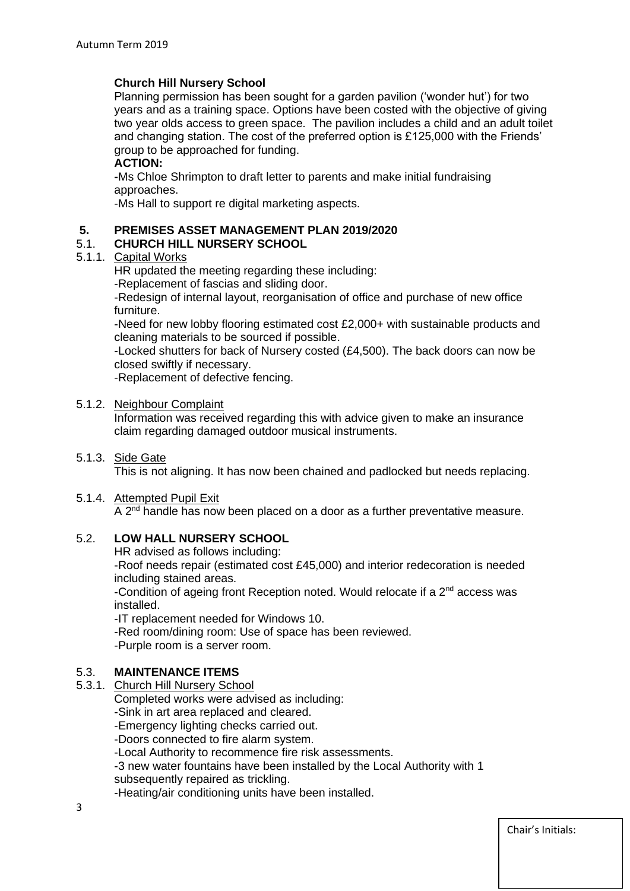# **Church Hill Nursery School**

Planning permission has been sought for a garden pavilion ('wonder hut') for two years and as a training space. Options have been costed with the objective of giving two year olds access to green space. The pavilion includes a child and an adult toilet and changing station. The cost of the preferred option is £125,000 with the Friends' group to be approached for funding.

# **ACTION:**

**-**Ms Chloe Shrimpton to draft letter to parents and make initial fundraising approaches.

-Ms Hall to support re digital marketing aspects.

# **5. PREMISES ASSET MANAGEMENT PLAN 2019/2020**

# 5.1. **CHURCH HILL NURSERY SCHOOL**

#### 5.1.1. Capital Works

HR updated the meeting regarding these including:

-Replacement of fascias and sliding door.

-Redesign of internal layout, reorganisation of office and purchase of new office furniture.

-Need for new lobby flooring estimated cost £2,000+ with sustainable products and cleaning materials to be sourced if possible.

-Locked shutters for back of Nursery costed (£4,500). The back doors can now be closed swiftly if necessary.

-Replacement of defective fencing.

#### 5.1.2. Neighbour Complaint

Information was received regarding this with advice given to make an insurance claim regarding damaged outdoor musical instruments.

5.1.3. Side Gate

This is not aligning. It has now been chained and padlocked but needs replacing.

#### 5.1.4. Attempted Pupil Exit

A  $2<sup>nd</sup>$  handle has now been placed on a door as a further preventative measure.

# 5.2. **LOW HALL NURSERY SCHOOL**

HR advised as follows including:

-Roof needs repair (estimated cost £45,000) and interior redecoration is needed including stained areas.

-Condition of ageing front Reception noted. Would relocate if a  $2<sup>nd</sup>$  access was installed.

-IT replacement needed for Windows 10.

-Red room/dining room: Use of space has been reviewed.

-Purple room is a server room.

# 5.3. **MAINTENANCE ITEMS**

5.3.1. Church Hill Nursery School

Completed works were advised as including:

-Sink in art area replaced and cleared.

-Emergency lighting checks carried out.

-Doors connected to fire alarm system.

-Local Authority to recommence fire risk assessments.

-3 new water fountains have been installed by the Local Authority with 1

subsequently repaired as trickling.

-Heating/air conditioning units have been installed.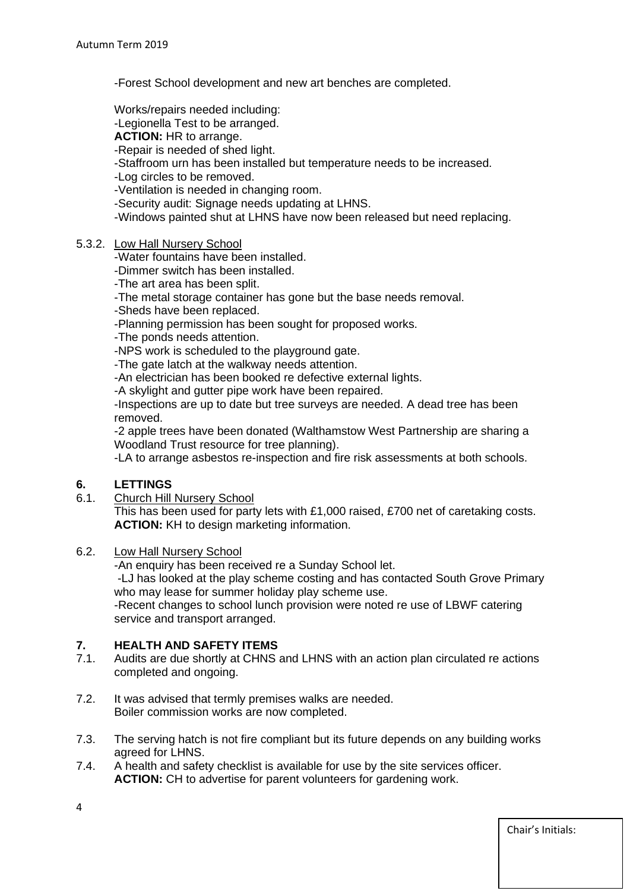-Forest School development and new art benches are completed.

Works/repairs needed including:

-Legionella Test to be arranged.

**ACTION:** HR to arrange.

-Repair is needed of shed light.

-Staffroom urn has been installed but temperature needs to be increased.

-Log circles to be removed.

-Ventilation is needed in changing room.

-Security audit: Signage needs updating at LHNS.

-Windows painted shut at LHNS have now been released but need replacing.

#### 5.3.2. Low Hall Nursery School

-Water fountains have been installed.

-Dimmer switch has been installed.

-The art area has been split.

-The metal storage container has gone but the base needs removal.

-Sheds have been replaced.

-Planning permission has been sought for proposed works.

-The ponds needs attention.

-NPS work is scheduled to the playground gate.

-The gate latch at the walkway needs attention.

-An electrician has been booked re defective external lights.

-A skylight and gutter pipe work have been repaired.

-Inspections are up to date but tree surveys are needed. A dead tree has been removed.

-2 apple trees have been donated (Walthamstow West Partnership are sharing a Woodland Trust resource for tree planning).

-LA to arrange asbestos re-inspection and fire risk assessments at both schools.

# **6. LETTINGS**

6.1. Church Hill Nursery School

This has been used for party lets with £1,000 raised, £700 net of caretaking costs. **ACTION:** KH to design marketing information.

# 6.2. Low Hall Nursery School

-An enquiry has been received re a Sunday School let. -LJ has looked at the play scheme costing and has contacted South Grove Primary who may lease for summer holiday play scheme use.

-Recent changes to school lunch provision were noted re use of LBWF catering service and transport arranged.

# **7. HEALTH AND SAFETY ITEMS**

- Audits are due shortly at CHNS and LHNS with an action plan circulated re actions completed and ongoing.
- 7.2. It was advised that termly premises walks are needed. Boiler commission works are now completed.
- 7.3. The serving hatch is not fire compliant but its future depends on any building works agreed for LHNS.
- 7.4. A health and safety checklist is available for use by the site services officer. **ACTION:** CH to advertise for parent volunteers for gardening work.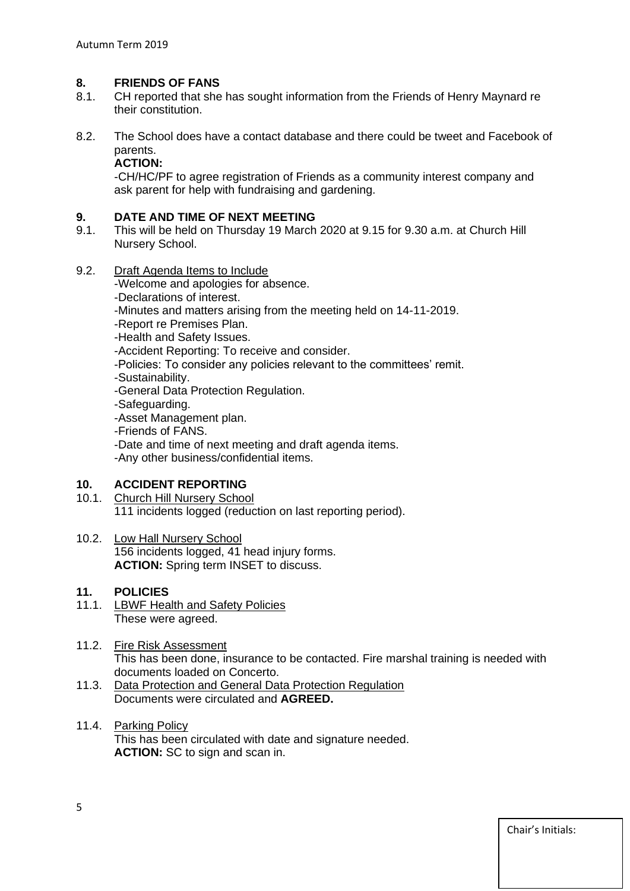### **8. FRIENDS OF FANS**

- 8.1. CH reported that she has sought information from the Friends of Henry Maynard re their constitution.
- 8.2. The School does have a contact database and there could be tweet and Facebook of parents.

#### **ACTION:**

-CH/HC/PF to agree registration of Friends as a community interest company and ask parent for help with fundraising and gardening.

# **9. DATE AND TIME OF NEXT MEETING**<br>**9.1.** This will be held on Thursday 19 March

- 9.1. This will be held on Thursday 19 March 2020 at 9.15 for 9.30 a.m. at Church Hill Nursery School.
- 9.2. Draft Agenda Items to Include

-Welcome and apologies for absence.

- -Declarations of interest.
- -Minutes and matters arising from the meeting held on 14-11-2019.
- -Report re Premises Plan.
- -Health and Safety Issues.

-Accident Reporting: To receive and consider.

- -Policies: To consider any policies relevant to the committees' remit.
- -Sustainability.
- -General Data Protection Regulation.
- -Safeguarding.
- -Asset Management plan.
- -Friends of FANS.
- -Date and time of next meeting and draft agenda items.

-Any other business/confidential items.

# **10. ACCIDENT REPORTING**

- 10.1. Church Hill Nursery School 111 incidents logged (reduction on last reporting period).
- 10.2. Low Hall Nursery School 156 incidents logged, 41 head injury forms. **ACTION:** Spring term INSET to discuss.

# **11. POLICIES**

- 11.1. LBWF Health and Safety Policies These were agreed.
- 11.2. Fire Risk Assessment This has been done, insurance to be contacted. Fire marshal training is needed with documents loaded on Concerto.
- 11.3. Data Protection and General Data Protection Regulation Documents were circulated and **AGREED.**
- 11.4. Parking Policy This has been circulated with date and signature needed. **ACTION:** SC to sign and scan in.